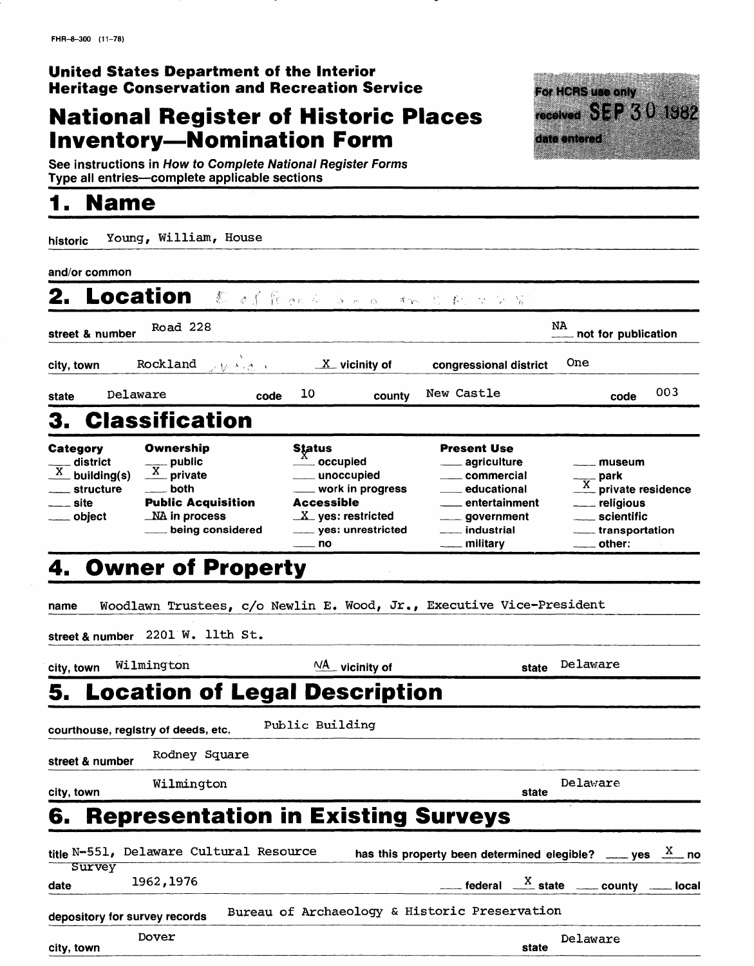### **United States Department of the Interior Heritage Conservation and Recreation Service**

## **National Register of Historic Places Inventory-Nomination Form**

For HCRS use only received **SEP** 30 1982 date entered **Company of the Sea** 

See instructions in How to Complete National Register Forms Type all entries—complete applicable sections

## **1. Name\_\_\_\_\_\_\_\_\_\_\_\_\_\_\_\_\_\_**

| historic                                                                                    | Young, William, House                                                                                              |                                                                                                                                                         |                                                                                                                                                                                     |                                                                                                  |
|---------------------------------------------------------------------------------------------|--------------------------------------------------------------------------------------------------------------------|---------------------------------------------------------------------------------------------------------------------------------------------------------|-------------------------------------------------------------------------------------------------------------------------------------------------------------------------------------|--------------------------------------------------------------------------------------------------|
| and/or common                                                                               |                                                                                                                    |                                                                                                                                                         |                                                                                                                                                                                     |                                                                                                  |
| 2.                                                                                          | <b>Location</b>                                                                                                    | 一群 计累累 化安全分子 化二乙酸 化氢铅                                                                                                                                   |                                                                                                                                                                                     |                                                                                                  |
| street & number                                                                             | Road 228                                                                                                           |                                                                                                                                                         |                                                                                                                                                                                     | NA<br>not for publication                                                                        |
| city, town                                                                                  | Rockland<br>いわ きょきしょ                                                                                               | $X$ vicinity of                                                                                                                                         | congressional district                                                                                                                                                              | One                                                                                              |
| Delaware<br>state                                                                           | code                                                                                                               | 10<br>county                                                                                                                                            | New Castle                                                                                                                                                                          | 003<br>code                                                                                      |
| 3.                                                                                          | <b>Classification</b>                                                                                              |                                                                                                                                                         |                                                                                                                                                                                     |                                                                                                  |
| Category<br>district<br>$\frac{\overline{X}}{X}$ building(s)<br>structure<br>site<br>object | Ownership<br>$\frac{y}{X}$ public<br>_ both<br><b>Public Acquisition</b><br>$\_$ NA in process<br>being considered | Status<br><b>── occupied</b><br><sub>—</sub> unoccupied<br>$\_$ work in progress<br>Accessible<br>$X$ yes: restricted<br>____ yes: unrestricted<br>. no | <b>Present Use</b><br>___ agriculture<br><sub>──</sub> commercial<br><sub>—</sub> educational<br>entertainment<br><sub>—</sub> government<br><sub>────</sub> industrial<br>military | museum<br>___ park<br>___ private residence<br><u>_</u> __ religious<br>___ scientific<br>other: |
| 4.                                                                                          | <b>Owner of Property</b>                                                                                           |                                                                                                                                                         |                                                                                                                                                                                     |                                                                                                  |
| name                                                                                        | Woodlawn Trustees, c/o Newlin E. Wood, Jr., Executive Vice-President                                               |                                                                                                                                                         |                                                                                                                                                                                     |                                                                                                  |
|                                                                                             | street & number 2201 W. llth St.                                                                                   |                                                                                                                                                         |                                                                                                                                                                                     |                                                                                                  |
| city, town                                                                                  | Wilmington                                                                                                         | $\frac{NA}{A}$ vicinity of                                                                                                                              | state                                                                                                                                                                               | Delaware                                                                                         |
| 5.                                                                                          | <b>Location of Legal Description</b>                                                                               |                                                                                                                                                         |                                                                                                                                                                                     |                                                                                                  |
|                                                                                             | courthouse, registry of deeds, etc.                                                                                | Public Building                                                                                                                                         |                                                                                                                                                                                     |                                                                                                  |
| street & number                                                                             | Rodney Square                                                                                                      |                                                                                                                                                         |                                                                                                                                                                                     |                                                                                                  |
| city, town                                                                                  | Wilmington                                                                                                         |                                                                                                                                                         | state                                                                                                                                                                               | Delaware                                                                                         |
| 6.                                                                                          | <b>Representation in Existing Surveys</b>                                                                          |                                                                                                                                                         |                                                                                                                                                                                     |                                                                                                  |

|               |                               | title N-551, Delaware Cultural Resource | has this property been determined elegible? ____ yes $\frac{X}{X}$ no |                                                                                    |          |  |
|---------------|-------------------------------|-----------------------------------------|-----------------------------------------------------------------------|------------------------------------------------------------------------------------|----------|--|
| <b>Survey</b> |                               |                                         |                                                                       |                                                                                    |          |  |
| date          | 1962, 1976                    |                                         |                                                                       | $\frac{X}{1}$ federal $\frac{X}{1}$ state $\frac{X}{1}$ county $\frac{X}{1}$ local |          |  |
|               | depository for survey records |                                         | Bureau of Archaeology & Historic Preservation                         |                                                                                    |          |  |
| city, town    | Dover                         |                                         |                                                                       | state                                                                              | Delaware |  |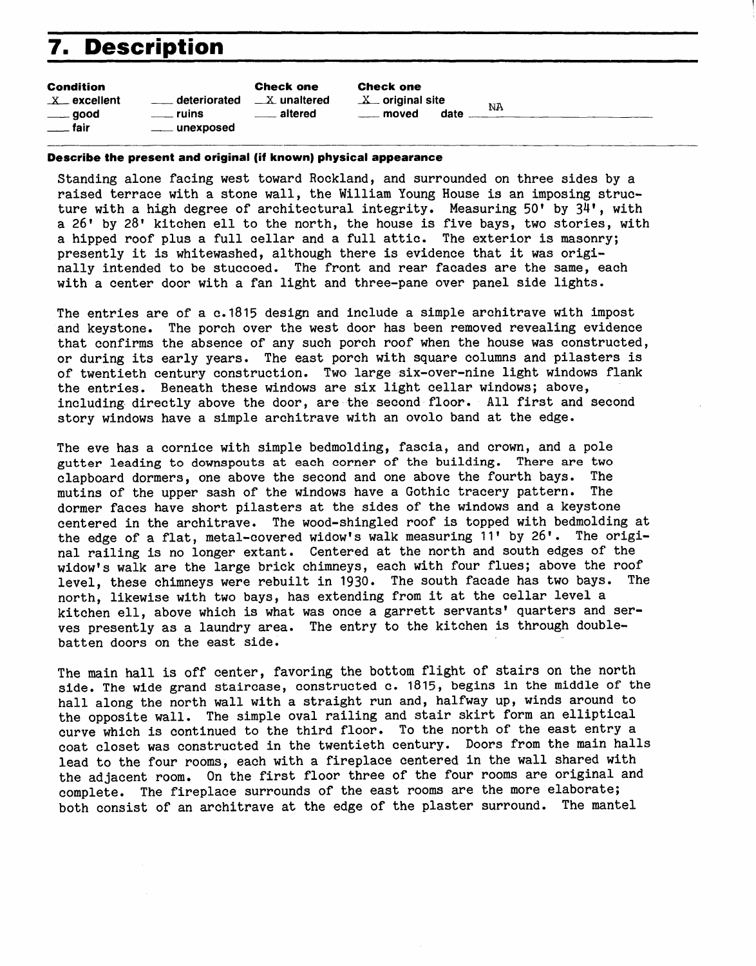# **7. Description**

| <b>Condition</b>          |                                            | <b>Check one</b>        |
|---------------------------|--------------------------------------------|-------------------------|
| $X$ excellent             | deteriorated<br>$\mathcal{L}^{\text{max}}$ | $\mathbb{-X}$ unaltered |
| $\rule{1em}{0.15mm}$ good | e ruins                                    | <u>__</u> __ altered    |
| <u>__</u> _ fair          | ___ unexposed                              |                         |
|                           |                                            |                         |

Check one  $X$  original site

moved date NA

#### **Describe the present and original (if known) physical appearance**

Standing alone facing west toward Rockland, and surrounded on three sides by a raised terrace with a stone wall, the William Young House is an imposing structure with a high degree of architectural integrity. Measuring  $50'$  by  $34'$ , with a 26' by 28' kitchen ell to the north, the house is five bays, two stories, with a hipped roof plus a full cellar and a full attic. The exterior is masonry; presently it is whitewashed, although there is evidence that it was originally intended to be stuccoed. The front and rear facades are the same, each with a center door with a fan light and three-pane over panel side lights.

The entries are of a c.1815 design and include a simple architrave with impost and keystone. The porch over the west door has been removed revealing evidence that confirms the absence of any such porch roof when the house was constructed, or during its early years. The east porch with square columns and pilasters is of twentieth century construction. Two large six-over-nine light windows flank the entries. Beneath these windows are six light cellar windows; above, including directly above the door, are the second floor. All first and second story windows have a simple architrave with an ovolo band at the edge.

The eve has a cornice with simple bedmolding, fascia, and crown, and a pole gutter leading to downspouts at each corner of the building. There are two clapboard dormers, one above the second and one above the fourth bays. The mutins of the upper sash of the windows have a Gothic tracery pattern. The dormer faces have short pilasters at the sides of the windows and a keystone centered in the architrave. The wood-shingled roof is topped with bedmolding at the edge of a flat, metal-covered widow's walk measuring 11' by 26'. The original railing is no longer extant. Centered at the north and south edges of the widow's walk are the large brick chimneys, each with four flues; above the roof level, these chimneys were rebuilt in 1930. The south facade has two bays. The north, likewise with two bays, has extending from it at the cellar level a kitchen ell, above which is what was once a garrett servants' quarters and serves presently as a laundry area. The entry to the kitchen is through doublebatten doors on the east side.

The main hall is off center, favoring the bottom flight of stairs on the north side. The wide grand staircase, constructed c. 1815, begins in the middle of the hall along the north wall with a straight run and, halfway up, winds around to the opposite wall. The simple oval railing and stair skirt form an elliptical curve which is continued to the third floor. To the north of the east entry a coat closet was constructed in the twentieth century. Doors from the main halls lead to the four rooms, each with a fireplace centered in the wall shared with the adjacent room. On the first floor three of the four rooms are original and complete. The fireplace surrounds of the east rooms are the more elaborate; both consist of an architrave at the edge of the plaster surround. The mantel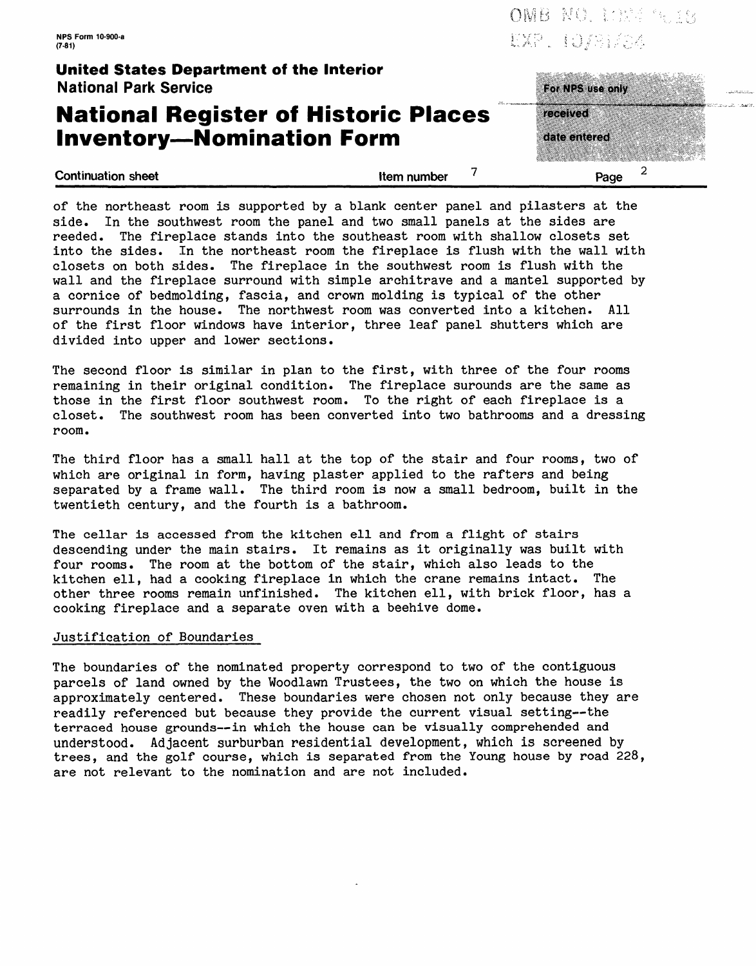**NPS Form 10-900-a (7-81)**

OMB NO. LONG TRIES EXP. IO/BI/SA

### **United States Department of the Interior** National Park Service

### **National Register of Historic Places Inventory-Nomination Form**

**Continuation sheet Continuation sheet 1** 

| Page                     |  |
|--------------------------|--|
| received<br>date entered |  |
| For NPS use only         |  |

of the northeast room is supported by a blank center panel and pilasters at the side. In the southwest room the panel and two small panels at the sides are reeded. The fireplace stands into the southeast room with shallow closets set into the sides. In the northeast room the fireplace is flush with the wall with closets on both sides. The fireplace in the southwest room is flush with the wall and the fireplace surround with simple architrave and a mantel supported by a cornice of bedmolding, fascia, and crown molding is typical of the other surrounds in the house. The northwest room was converted into a kitchen. All of the first floor windows have interior, three leaf panel shutters which are divided into upper and lower sections.

The second floor is similar in plan to the first, with three of the four rooms remaining in their original condition. The fireplace surounds are the same as those in the first floor southwest room. To the right of each fireplace is a closet. The southwest room has been converted into two bathrooms and a dressing room.

The third floor has a small hall at the top of the stair and four rooms, two of which are original in form, having plaster applied to the rafters and being separated by a frame wall. The third room is now a small bedroom, built in the twentieth century, and the fourth is a bathroom.

The cellar is accessed from the kitchen ell and from a flight of stairs descending under the main stairs. It remains as it originally was built with four rooms. The room at the bottom of the stair, which also leads to the kitchen ell, had a cooking fireplace in which the crane remains intact. The other three rooms remain unfinished. The kitchen ell, with brick floor, has a cooking fireplace and a separate oven with a beehive dome.

#### Justification of Boundaries

The boundaries of the nominated property correspond to two of the contiguous parcels of land owned by the Woodlawn Trustees, the two on which the house is approximately centered. These boundaries were chosen not only because they are readily referenced but because they provide the current visual setting--the terraced house grounds--in which the house can be visually comprehended and understood. Adjacent surburban residential development, which is screened by trees, and the golf course, which is separated from the Young house by road 228, are not relevant to the nomination and are not included.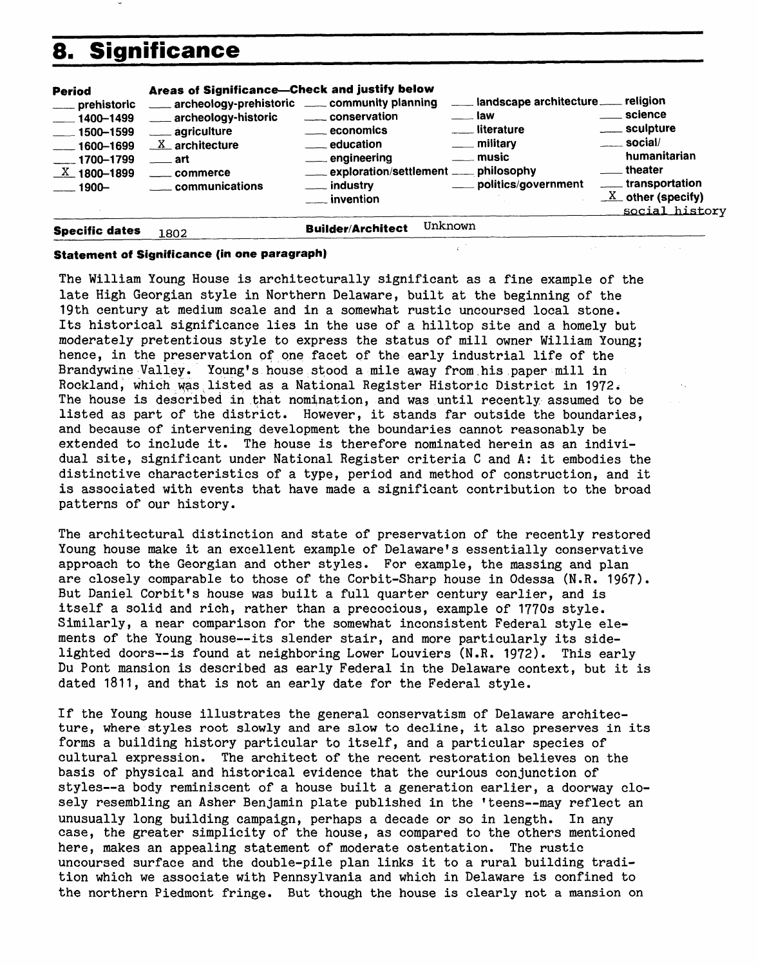# **8. Significance**

| <b>Period</b><br>__ prehistoric<br>$-1400 - 1499$<br>$\frac{1}{2}$ 1500–1599<br>$-1600 - 1699$<br>$-1700 - 1799$<br>$\underline{X}$ 1800-1899<br>—— 1900— | Areas of Significance-Check and justify below<br>archeology-prehistoric ____ community planning<br>. archeology-historic<br>____ agriculture<br>$X$ architecture<br>──art<br>commerce<br>communications | conservation<br><u>__</u> economics<br><u>__</u> education<br>__ engineering<br>exploration/settlement ___ philosophy<br>__ industry<br>$\_$ invention | ___ landscape architecture __ religion<br>___ law<br>__ literature<br>___ military<br>__music<br>___ politics/government | __ science<br>____ sculpture<br>$\sim$ social/<br>humanitarian<br>theater<br>_____ transportation<br>$\underline{X}$ other (specify)<br>social history |
|-----------------------------------------------------------------------------------------------------------------------------------------------------------|---------------------------------------------------------------------------------------------------------------------------------------------------------------------------------------------------------|--------------------------------------------------------------------------------------------------------------------------------------------------------|--------------------------------------------------------------------------------------------------------------------------|--------------------------------------------------------------------------------------------------------------------------------------------------------|
| <b>Specific dates</b>                                                                                                                                     | 1802                                                                                                                                                                                                    | <b>Builder/Architect</b>                                                                                                                               | Unknown                                                                                                                  |                                                                                                                                                        |

#### **Statement of Significance (in one paragraph)**

The William Young House is architecturally significant as a fine example of the late High Georgian style in Northern Delaware, built at the beginning of the 19th century at medium scale and in a somewhat rustic uncoursed local stone. Its historical significance lies in the use of a hilltop site and a homely but moderately pretentious style to express the status of mill owner William Young; hence, in the preservation of one facet of the early industrial life of the Brandywine Valley. Young's house stood a mile away from,his.paper mill in Rockland, which was listed as a National Register Historic District in 1972. The house is described in that nomination, and was until recently assumed to be listed as part of the district. However, it stands far outside the boundaries, and because of intervening development the boundaries cannot reasonably be extended to include it. The house is therefore nominated herein as an individual site, significant under National Register criteria C and A: it embodies the distinctive characteristics of a type, period and method of construction, and it is associated with events that have made a significant contribution to the broad patterns of our history.

The architectural distinction and state of preservation of the recently restored Young house make it an excellent example of Delaware's essentially conservative approach to the Georgian and other styles. For example, the massing and plan are closely comparable to those of the Corbit-Sharp house in Odessa (N.R. 1967). But Daniel Corbit's house was built a full quarter century earlier, and is itself a solid and rich, rather than a precocious, example of 1770s style. Similarly, a near comparison for the somewhat inconsistent Federal style elements of the Young house--its slender stair, and more particularly its sidelighted doors--is found at neighboring Lower Louviers (N.R. 1972). This early Du Pont mansion is described as early Federal in the Delaware context, but it is dated 1811, and that is not an early date for the Federal style.

If the Young house illustrates the general conservatism of Delaware architecture, where styles root slowly and are slow to decline, it also preserves in its forms a building history particular to itself, and a particular species of cultural expression. The architect of the recent restoration believes on the basis of physical and historical evidence that the curious conjunction of styles--a body reminiscent of a house built a generation earlier, a doorway closely resembling an Asher Benjamin plate published in the 'teens--may reflect an unusually long building campaign, perhaps a decade or so in length. In any case, the greater simplicity of the house, as compared to the others mentioned here, makes an appealing statement of moderate ostentation. The rustic uncoursed surface and the double-pile plan links it to a rural building tradition which we associate with Pennsylvania and which in Delaware is confined to the northern Piedmont fringe. But though the house is clearly not a mansion on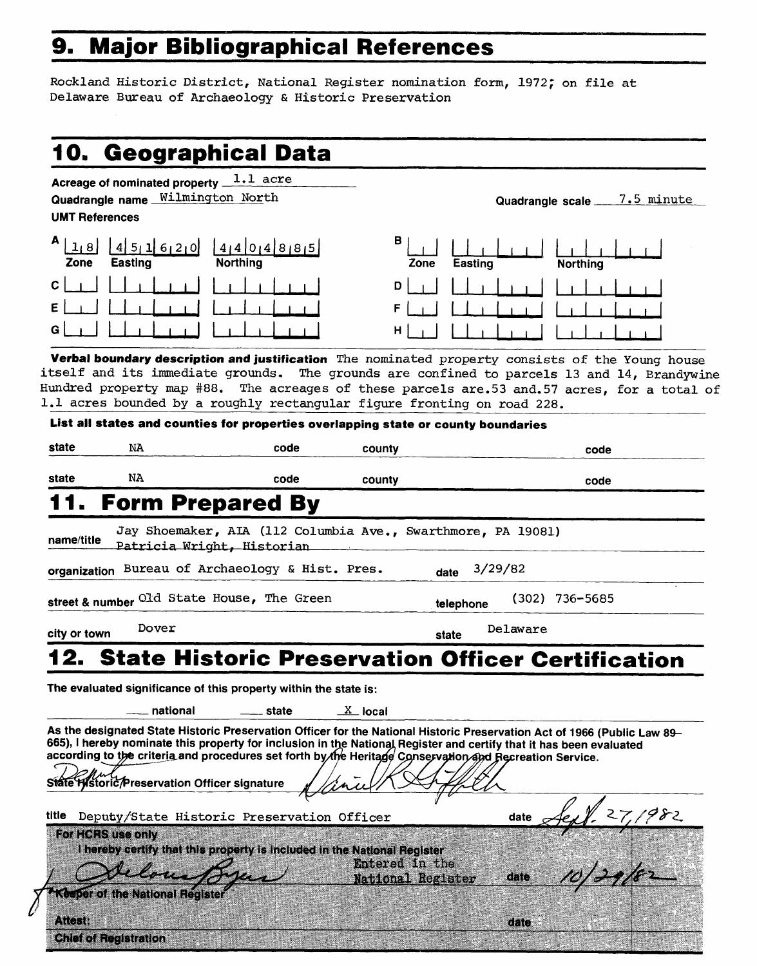# **9. Major Bibliographical References**

Rockland Historic District, National Register nomination form, 1972; on file at Delaware Bureau of Archaeology & Historic Preservation

|                       | Acreage of nominated property 1.1 acre                                                                              |                                                              |                          |           |                                                                                                                          |
|-----------------------|---------------------------------------------------------------------------------------------------------------------|--------------------------------------------------------------|--------------------------|-----------|--------------------------------------------------------------------------------------------------------------------------|
|                       | Quadrangle name Wilmington North                                                                                    |                                                              |                          |           | <u>7.5 minute</u><br>Quadrangle scale                                                                                    |
| <b>UMT References</b> |                                                                                                                     |                                                              |                          |           |                                                                                                                          |
| 1 8 <br>Zone          | 4511620<br>Easting                                                                                                  | 41401481815<br><b>Northing</b>                               | в<br>Zone                | Easting   | <b>Northing</b>                                                                                                          |
| с                     |                                                                                                                     |                                                              | D                        |           |                                                                                                                          |
|                       |                                                                                                                     |                                                              | F                        |           |                                                                                                                          |
|                       |                                                                                                                     |                                                              | н                        |           |                                                                                                                          |
|                       |                                                                                                                     |                                                              |                          |           | Verbal boundary description and justification The nominated property consists of the Young house                         |
|                       |                                                                                                                     |                                                              |                          |           | itself and its immediate grounds. The grounds are confined to parcels 13 and 14, Brandywine                              |
|                       | 1.1 acres bounded by a roughly rectangular figure fronting on road 228.                                             |                                                              |                          |           | Hundred property map #88. The acreages of these parcels are.53 and.57 acres, for a total of                              |
|                       | List all states and counties for properties overlapping state or county boundaries                                  |                                                              |                          |           |                                                                                                                          |
| state                 |                                                                                                                     |                                                              |                          |           |                                                                                                                          |
|                       | NA                                                                                                                  | code                                                         | county                   |           | code                                                                                                                     |
| state                 | NA                                                                                                                  | code                                                         | county                   |           | code                                                                                                                     |
|                       | <b>Form Prepared By</b>                                                                                             |                                                              |                          |           |                                                                                                                          |
|                       |                                                                                                                     |                                                              |                          |           |                                                                                                                          |
| name/title            | Patricia Wright, Historian                                                                                          | Jay Shoemaker, AIA (112 Columbia Ave., Swarthmore, PA 19081) |                          |           |                                                                                                                          |
|                       | organization Bureau of Archaeology & Hist. Pres.                                                                    |                                                              | date                     | 3/29/82   |                                                                                                                          |
|                       |                                                                                                                     |                                                              |                          |           |                                                                                                                          |
|                       | street & number Old State House, The Green                                                                          |                                                              |                          | telephone | $(302)$ 736-5685                                                                                                         |
|                       | Dover                                                                                                               |                                                              | state                    | Delaware  |                                                                                                                          |
|                       |                                                                                                                     |                                                              |                          |           |                                                                                                                          |
|                       |                                                                                                                     |                                                              |                          |           |                                                                                                                          |
|                       |                                                                                                                     |                                                              |                          |           | <b>State Historic Preservation Officer Certification</b>                                                                 |
|                       | The evaluated significance of this property within the state is:                                                    |                                                              |                          |           |                                                                                                                          |
|                       | national                                                                                                            | $\equiv$ state                                               | $\underline{X}$ local    |           |                                                                                                                          |
|                       |                                                                                                                     |                                                              |                          |           | As the designated State Historic Preservation Officer for the National Historic Preservation Act of 1966 (Public Law 89- |
|                       | 665), I hereby nominate this property for inclusion in the National Register and certify that it has been evaluated |                                                              |                          |           |                                                                                                                          |
|                       | according to the criteria and procedures set forth by the Heritage Conservation and Recreation Service.             |                                                              |                          |           |                                                                                                                          |
|                       | State Historic/Preservation Officer signature                                                                       |                                                              |                          |           |                                                                                                                          |
| city or town<br>title |                                                                                                                     |                                                              |                          |           |                                                                                                                          |
|                       | Deputy/State Historic Preservation Officer<br>For HCRS use only                                                     |                                                              |                          | date      |                                                                                                                          |
|                       | I hereby certify that this property is included in the National Register                                            |                                                              |                          |           |                                                                                                                          |
|                       |                                                                                                                     |                                                              | Entered in the           | date      |                                                                                                                          |
|                       | <b>Keeper of the National Register</b>                                                                              |                                                              | <b>National Register</b> |           |                                                                                                                          |
| Attest:               |                                                                                                                     |                                                              |                          | date      |                                                                                                                          |